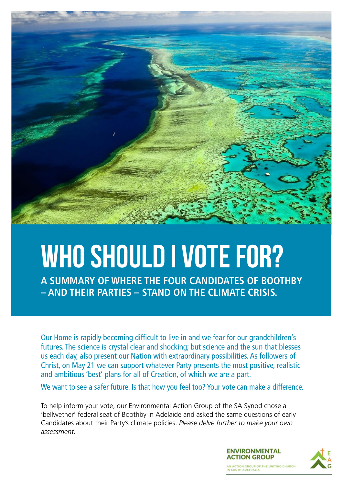

# WHO SHOULD I VOTE FOR?

**A SUMMARY OF WHERE THE FOUR CANDIDATES OF BOOTHBY – AND THEIR PARTIES – STAND ON THE CLIMATE CRISIS.**

Our Home is rapidly becoming difficult to live in and we fear for our grandchildren's futures. The science is crystal clear and shocking; but science and the sun that blesses us each day, also present our Nation with extraordinary possibilities. As followers of Christ, on May 21 we can support whatever Party presents the most positive, realistic and ambitious 'best' plans for all of Creation, of which we are a part.

We want to see a safer future. Is that how you feel too? Your vote can make a difference.

To help inform your vote, our Environmental Action Group of the SA Synod chose a 'bellwether' federal seat of Boothby in Adelaide and asked the same questions of early Candidates about their Party's climate policies. *Please delve further to make your own assessment.*

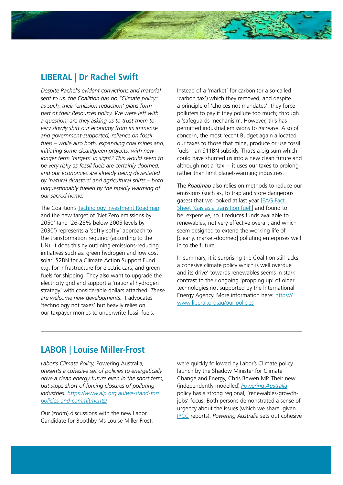## **LIBERAL | Dr Rachel Swift**

*Despite Rachel's evident convictions and material sent to us, the Coalition has no "Climate policy" as such; their 'emission reduction' plans form part of their Resources policy. We were left with a question: are they asking us to trust them to very slowly shift our economy from its immense and government-supported, reliance on fossil fuels – while also both, expanding coal mines and, initiating some clean/green projects, with new longer term 'targets' in sight? This would seem to be very risky as fossil fuels are certainly doomed, and our economies are already being devastated by 'natural disasters' and agricultural shifts – both unquestionably fueled by the rapidly warming of our sacred home.*

The Coalition's [Technology Investment Roadmap](https://www.industry.gov.au/data-and-publications/technology-investment-roadmap-low-emissions-technology-statement-2021) and the new target of 'Net Zero emissions by 2050' (and '26-28% below 2005 levels by 2030') represents a 'softly-softly' approach to the transformation required (according to the UN). It does this by outlining emissions-reducing initiatives such as: green hydrogen and low cost solar; \$2BN for a Climate Action Support Fund e.g. for infrastructure for electric cars, and green fuels for shipping. They also want to upgrade the electricity grid and support a 'national hydrogen strategy' with considerable dollars attached. *These are welcome new developments.* It advocates 'technology not taxes' but heavily relies on our taxpayer monies to underwrite fossil fuels.

Instead of a 'market' for carbon (or a so-called 'carbon tax') which they removed, and despite a principle of 'choices not mandates', they force polluters to pay if they pollute too much; through a 'safeguards mechanism'. However, this has permitted industrial emissions to *increase*. Also of concern, the most recent Budget again allocated our taxes to those that mine, produce or use fossil fuels – an \$11BN subsidy. That's a big sum which could have shunted us into a new clean future and although not a 'tax' – it uses our taxes to prolong rather than limit planet-warming industries.

The *Roadmap* also relies on methods to reduce our emissions (such as, to trap and store dangerous gases) that we looked at last year [\[EAG Fact](https://www.environmentalaction.org.au/_files/ugd/d3b1c1_a91a331e8e6f4beba7f2544e7116dcf8.pdf)  [Sheet 'Gas as a transition fuel'](https://www.environmentalaction.org.au/_files/ugd/d3b1c1_a91a331e8e6f4beba7f2544e7116dcf8.pdf)] and found to be: expensive, so it reduces funds available to renewables; not very effective overall; and which seem designed to extend the working life of [clearly, market-doomed] polluting enterprises well in to the future.

In summary, it is surprising the Coalition still lacks a cohesive climate policy which is well overdue and its drive' towards renewables seems in stark contrast to their ongoing 'propping up' of older technologies not supported by the International Energy Agency. More information here: [https://](https://www.liberal.org.au/our-policies) [www.liberal.org.au/our-policies](https://www.liberal.org.au/our-policies)

## **LABOR | Louise Miller-Frost**

*Labor's Climate Policy,* Powering Australia*, presents a cohesive set of policies to energetically drive a clean energy future even in the short term, but stops short of forcing closures of polluting industries. [https://www.alp.org.au/we-stand-for/](https://www.alp.org.au/we-stand-for/policies-and-commitments/) [policies-and-commitments/](https://www.alp.org.au/we-stand-for/policies-and-commitments/)*

Our (zoom) discussions with the new Labor Candidate for Boothby Ms Louise Miller-Frost,

were quickly followed by Labor's Climate policy launch by the Shadow Minister for Climate Change and Energy, Chris Bowen MP. Their new (independently modelled) *[Powering Australia](https://www.alp.org.au/policies/powering-australia)* policy has a strong regional, 'renewables-growthjobs' focus. Both persons demonstrated a sense of urgency about the issues (which we share, given [IPCC](https://www.ipcc.ch/report/sixth-assessment-report-cycle/) reports). *Powering Australia* sets out cohesive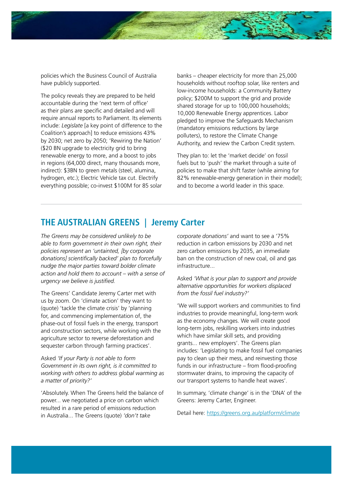

policies which the Business Council of Australia have publicly supported.

The policy reveals they are prepared to be held accountable during the 'next term of office' as their plans are specific and detailed and will require annual reports to Parliament. Its elements include: *Legislate* [a key point of difference to the Coalition's approach] to reduce emissions 43% by 2030; net zero by 2050; 'Rewiring the Nation' (\$20 BN upgrade to electricity grid to bring renewable energy to more, and a boost to jobs in regions (64,000 direct, many thousands more, indirect): \$3BN to green metals (steel, alumina, hydrogen, etc.); Electric Vehicle tax cut. Electrify everything possible; co-invest \$100M for 85 solar

banks – cheaper electricity for more than 25,000 households without rooftop solar, like renters and low-income households: a Community Battery policy; \$200M to support the grid and provide shared storage for up to 100,000 households; 10,000 Renewable Energy apprentices. Labor pledged to improve the Safeguards Mechanism (mandatory emissions reductions by large polluters), to restore the Climate Change Authority, and review the Carbon Credit system.

They plan to: let the 'market decide' on fossil fuels but to 'push' the market through a suite of policies to make that shift faster (while aiming for 82% renewable-energy generation in their model); and to become a world leader in this space.

#### **THE AUSTRALIAN GREENS | Jeremy Carter**

*The Greens may be considered unlikely to be able to form government in their own right, their policies represent an 'untainted, [by corporate donations] scientifically backed' plan to forcefully nudge the major parties toward bolder climate action and hold them to account – with a sense of urgency we believe is justified.*

The Greens' Candidate Jeremy Carter met with us by zoom. On 'climate action' they want to (quote) 'tackle the climate crisis' by 'planning for, and commencing implementation of, the phase-out of fossil fuels in the energy, transport and construction sectors, while working with the agriculture sector to reverse deforestation and sequester carbon through farming practices'.

Asked *'If your Party is not able to form Government in its own right, is it committed to working with others to address global warming as a matter of priority?'*

'Absolutely. When The Greens held the balance of power... we negotiated a price on carbon which resulted in a rare period of emissions reduction in Australia... The Greens (quote) *'don't take* 

*corporate donations'* and want to see a '75% reduction in carbon emissions by 2030 and net zero carbon emissions by 2035, an immediate ban on the construction of new coal, oil and gas infrastructure...

Asked *'What is your plan to support and provide alternative opportunities for workers displaced from the fossil fuel industry?'*

'We will support workers and communities to find industries to provide meaningful, long-term work as the economy changes. We will create good long-term jobs, reskilling workers into industries which have similar skill sets, and providing grants... new employers'. The Greens plan includes: 'Legislating to make fossil fuel companies pay to clean up their mess, and reinvesting those funds in our infrastructure – from flood-proofing stormwater drains, to improving the capacity of our transport systems to handle heat waves'.

In summary, 'climate change' is in the 'DNA' of the Greens: Jeremy Carter, Engineer.

Detail here:<https://greens.org.au/platform/climate>